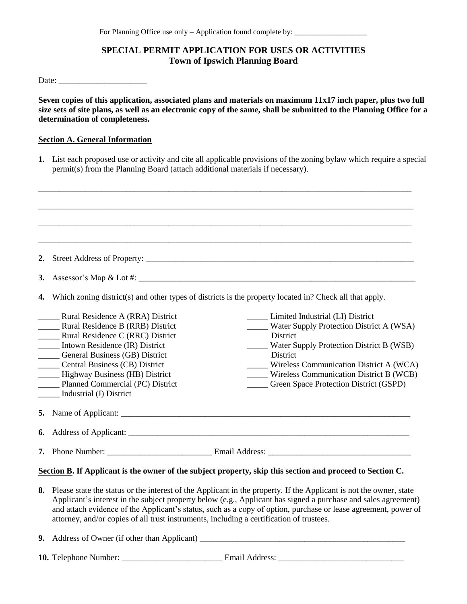# **SPECIAL PERMIT APPLICATION FOR USES OR ACTIVITIES Town of Ipswich Planning Board**

Date: \_\_\_\_\_\_\_\_\_\_\_\_\_\_\_\_\_\_\_\_\_

**Seven copies of this application, associated plans and materials on maximum 11x17 inch paper, plus two full size sets of site plans, as well as an electronic copy of the same, shall be submitted to the Planning Office for a determination of completeness.** 

#### **Section A. General Information**

**1.** List each proposed use or activity and cite all applicable provisions of the zoning bylaw which require a special permit(s) from the Planning Board (attach additional materials if necessary).

| 2.                                                                                                        |                                                                                                         |                                                                                                                                                                                                                                                                                                                                                        |  |  |  |  |  |  |
|-----------------------------------------------------------------------------------------------------------|---------------------------------------------------------------------------------------------------------|--------------------------------------------------------------------------------------------------------------------------------------------------------------------------------------------------------------------------------------------------------------------------------------------------------------------------------------------------------|--|--|--|--|--|--|
| <b>3.</b>                                                                                                 |                                                                                                         |                                                                                                                                                                                                                                                                                                                                                        |  |  |  |  |  |  |
| 4.                                                                                                        | Which zoning district(s) and other types of districts is the property located in? Check all that apply. |                                                                                                                                                                                                                                                                                                                                                        |  |  |  |  |  |  |
|                                                                                                           | _____ Rural Residence A (RRA) District                                                                  | Limited Industrial (LI) District                                                                                                                                                                                                                                                                                                                       |  |  |  |  |  |  |
|                                                                                                           | <b>EXECUTE:</b> Rural Residence B (RRB) District                                                        | Water Supply Protection District A (WSA)                                                                                                                                                                                                                                                                                                               |  |  |  |  |  |  |
|                                                                                                           | Rural Residence C (RRC) District                                                                        | District                                                                                                                                                                                                                                                                                                                                               |  |  |  |  |  |  |
|                                                                                                           | Intown Residence (IR) District                                                                          | Water Supply Protection District B (WSB)                                                                                                                                                                                                                                                                                                               |  |  |  |  |  |  |
|                                                                                                           | <b>Ceneral Business (GB) District</b>                                                                   | District                                                                                                                                                                                                                                                                                                                                               |  |  |  |  |  |  |
|                                                                                                           | <b>Central Business (CB) District</b>                                                                   | Wireless Communication District A (WCA)                                                                                                                                                                                                                                                                                                                |  |  |  |  |  |  |
|                                                                                                           | Highway Business (HB) District                                                                          | Wireless Communication District B (WCB)                                                                                                                                                                                                                                                                                                                |  |  |  |  |  |  |
|                                                                                                           | Planned Commercial (PC) District                                                                        | _____ Green Space Protection District (GSPD)                                                                                                                                                                                                                                                                                                           |  |  |  |  |  |  |
|                                                                                                           | Industrial (I) District                                                                                 |                                                                                                                                                                                                                                                                                                                                                        |  |  |  |  |  |  |
|                                                                                                           |                                                                                                         |                                                                                                                                                                                                                                                                                                                                                        |  |  |  |  |  |  |
| 6.                                                                                                        |                                                                                                         |                                                                                                                                                                                                                                                                                                                                                        |  |  |  |  |  |  |
|                                                                                                           |                                                                                                         |                                                                                                                                                                                                                                                                                                                                                        |  |  |  |  |  |  |
| Section B. If Applicant is the owner of the subject property, skip this section and proceed to Section C. |                                                                                                         |                                                                                                                                                                                                                                                                                                                                                        |  |  |  |  |  |  |
| 8.                                                                                                        | attorney, and/or copies of all trust instruments, including a certification of trustees.                | Please state the status or the interest of the Applicant in the property. If the Applicant is not the owner, state<br>Applicant's interest in the subject property below (e.g., Applicant has signed a purchase and sales agreement)<br>and attach evidence of the Applicant's status, such as a copy of option, purchase or lease agreement, power of |  |  |  |  |  |  |

**9.** Address of Owner (if other than Applicant) \_\_\_\_\_\_\_\_\_\_\_\_\_\_\_\_\_\_\_\_\_\_\_\_\_\_\_\_\_\_\_\_\_\_\_\_\_\_\_\_\_\_\_\_\_\_\_\_\_

**10.** Telephone Number: \_\_\_\_\_\_\_\_\_\_\_\_\_\_\_\_\_\_\_\_\_\_\_\_ Email Address: \_\_\_\_\_\_\_\_\_\_\_\_\_\_\_\_\_\_\_\_\_\_\_\_\_\_\_\_\_\_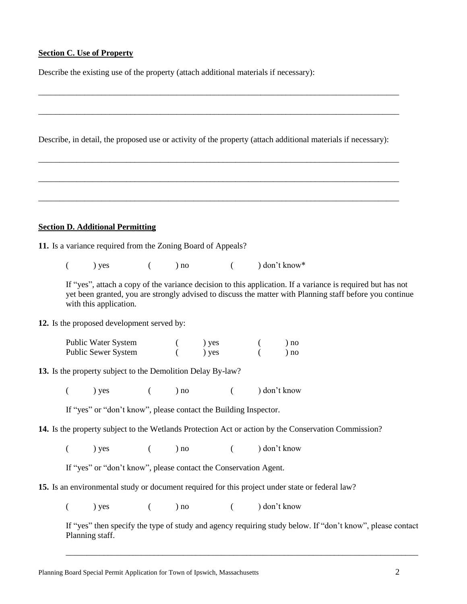## **Section C. Use of Property**

Describe the existing use of the property (attach additional materials if necessary):

Describe, in detail, the proposed use or activity of the property (attach additional materials if necessary):

\_\_\_\_\_\_\_\_\_\_\_\_\_\_\_\_\_\_\_\_\_\_\_\_\_\_\_\_\_\_\_\_\_\_\_\_\_\_\_\_\_\_\_\_\_\_\_\_\_\_\_\_\_\_\_\_\_\_\_\_\_\_\_\_\_\_\_\_\_\_\_\_\_\_\_\_\_\_\_\_\_\_\_\_\_\_

\_\_\_\_\_\_\_\_\_\_\_\_\_\_\_\_\_\_\_\_\_\_\_\_\_\_\_\_\_\_\_\_\_\_\_\_\_\_\_\_\_\_\_\_\_\_\_\_\_\_\_\_\_\_\_\_\_\_\_\_\_\_\_\_\_\_\_\_\_\_\_\_\_\_\_\_\_\_\_\_\_\_\_\_\_\_

\_\_\_\_\_\_\_\_\_\_\_\_\_\_\_\_\_\_\_\_\_\_\_\_\_\_\_\_\_\_\_\_\_\_\_\_\_\_\_\_\_\_\_\_\_\_\_\_\_\_\_\_\_\_\_\_\_\_\_\_\_\_\_\_\_\_\_\_\_\_\_\_\_\_\_\_\_\_\_\_\_\_\_\_\_\_

\_\_\_\_\_\_\_\_\_\_\_\_\_\_\_\_\_\_\_\_\_\_\_\_\_\_\_\_\_\_\_\_\_\_\_\_\_\_\_\_\_\_\_\_\_\_\_\_\_\_\_\_\_\_\_\_\_\_\_\_\_\_\_\_\_\_\_\_\_\_\_\_\_\_\_\_\_\_\_\_\_\_\_\_\_\_

\_\_\_\_\_\_\_\_\_\_\_\_\_\_\_\_\_\_\_\_\_\_\_\_\_\_\_\_\_\_\_\_\_\_\_\_\_\_\_\_\_\_\_\_\_\_\_\_\_\_\_\_\_\_\_\_\_\_\_\_\_\_\_\_\_\_\_\_\_\_\_\_\_\_\_\_\_\_\_\_\_\_\_\_\_\_

# **Section D. Additional Permitting**

**11.** Is a variance required from the Zoning Board of Appeals?

 $(y \cos \theta)$  yes  $(y \cos \theta)$  no  $(y \cos \theta)$  don't know

If "yes", attach a copy of the variance decision to this application. If a variance is required but has not yet been granted, you are strongly advised to discuss the matter with Planning staff before you continue with this application.

**12.** Is the proposed development served by:

| Public Water System | ) yes | ) no |
|---------------------|-------|------|
| Public Sewer System | ) yes | ) no |

**13.** Is the property subject to the Demolition Delay By-law?

 $(y \cos \theta)$  yes  $(y \cos \theta)$  no  $(y \cos \theta)$  don't know

If "yes" or "don't know", please contact the Building Inspector.

**14.** Is the property subject to the Wetlands Protection Act or action by the Conservation Commission?

 $(y \cos \theta)$  yes  $(y \cos \theta)$  no  $(y \cos \theta)$  don't know

If "yes" or "don't know", please contact the Conservation Agent.

**15.** Is an environmental study or document required for this project under state or federal law?

 $(y \mid y)$  yes  $(y \mid y)$  no  $(y \mid y)$  don't know

If "yes" then specify the type of study and agency requiring study below. If "don't know", please contact Planning staff.

\_\_\_\_\_\_\_\_\_\_\_\_\_\_\_\_\_\_\_\_\_\_\_\_\_\_\_\_\_\_\_\_\_\_\_\_\_\_\_\_\_\_\_\_\_\_\_\_\_\_\_\_\_\_\_\_\_\_\_\_\_\_\_\_\_\_\_\_\_\_\_\_\_\_\_\_\_\_\_\_\_\_\_\_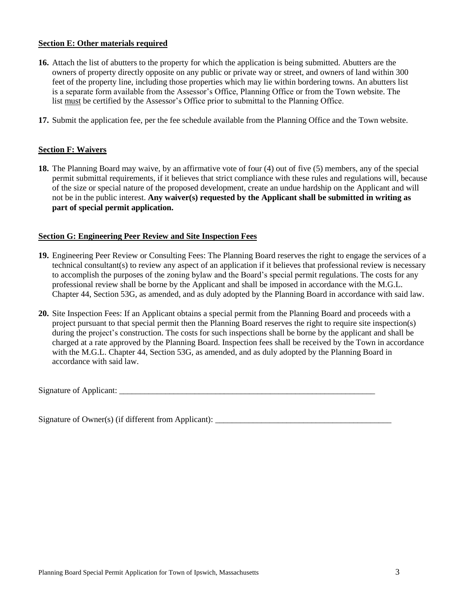# **Section E: Other materials required**

- **16.** Attach the list of abutters to the property for which the application is being submitted. Abutters are the owners of property directly opposite on any public or private way or street, and owners of land within 300 feet of the property line, including those properties which may lie within bordering towns. An abutters list is a separate form available from the Assessor's Office, Planning Office or from the Town website. The list must be certified by the Assessor's Office prior to submittal to the Planning Office.
- **17.** Submit the application fee, per the fee schedule available from the Planning Office and the Town website.

#### **Section F: Waivers**

**18.** The Planning Board may waive, by an affirmative vote of four (4) out of five (5) members, any of the special permit submittal requirements, if it believes that strict compliance with these rules and regulations will, because of the size or special nature of the proposed development, create an undue hardship on the Applicant and will not be in the public interest. **Any waiver(s) requested by the Applicant shall be submitted in writing as part of special permit application.**

#### **Section G: Engineering Peer Review and Site Inspection Fees**

- **19.** Engineering Peer Review or Consulting Fees: The Planning Board reserves the right to engage the services of a technical consultant(s) to review any aspect of an application if it believes that professional review is necessary to accomplish the purposes of the zoning bylaw and the Board's special permit regulations. The costs for any professional review shall be borne by the Applicant and shall be imposed in accordance with the M.G.L. Chapter 44, Section 53G, as amended, and as duly adopted by the Planning Board in accordance with said law.
- **20.** Site Inspection Fees: If an Applicant obtains a special permit from the Planning Board and proceeds with a project pursuant to that special permit then the Planning Board reserves the right to require site inspection(s) during the project's construction. The costs for such inspections shall be borne by the applicant and shall be charged at a rate approved by the Planning Board. Inspection fees shall be received by the Town in accordance with the M.G.L. Chapter 44, Section 53G, as amended, and as duly adopted by the Planning Board in accordance with said law.

Signature of Applicant: \_\_\_\_\_\_\_\_\_\_\_\_\_\_\_\_\_\_\_\_\_\_\_\_\_\_\_\_\_\_\_\_\_\_\_\_\_\_\_\_\_\_\_\_\_\_\_\_\_\_\_\_\_\_\_\_\_\_\_\_\_

Signature of Owner(s) (if different from Applicant):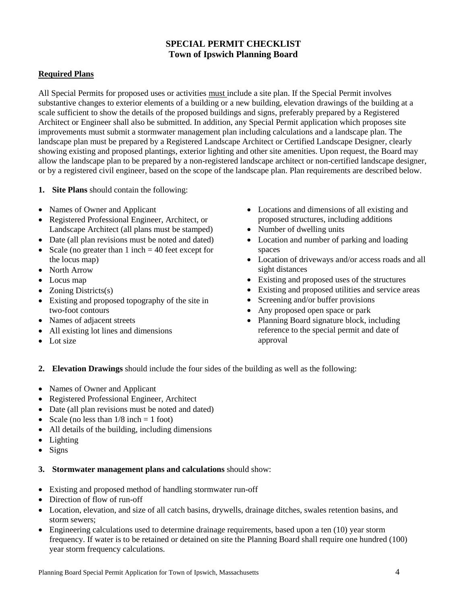# **SPECIAL PERMIT CHECKLIST Town of Ipswich Planning Board**

# **Required Plans**

All Special Permits for proposed uses or activities must include a site plan. If the Special Permit involves substantive changes to exterior elements of a building or a new building, elevation drawings of the building at a scale sufficient to show the details of the proposed buildings and signs, preferably prepared by a Registered Architect or Engineer shall also be submitted. In addition, any Special Permit application which proposes site improvements must submit a stormwater management plan including calculations and a landscape plan. The landscape plan must be prepared by a Registered Landscape Architect or Certified Landscape Designer, clearly showing existing and proposed plantings, exterior lighting and other site amenities. Upon request, the Board may allow the landscape plan to be prepared by a non-registered landscape architect or non-certified landscape designer, or by a registered civil engineer, based on the scope of the landscape plan. Plan requirements are described below.

- **1. Site Plans** should contain the following:
- Names of Owner and Applicant
- Registered Professional Engineer, Architect, or Landscape Architect (all plans must be stamped)
- Date (all plan revisions must be noted and dated)
- Scale (no greater than  $1$  inch  $= 40$  feet except for the locus map)
- North Arrow
- Locus map
- Zoning Districts $(s)$
- Existing and proposed topography of the site in two-foot contours
- Names of adjacent streets
- All existing lot lines and dimensions
- Lot size
- Locations and dimensions of all existing and proposed structures, including additions
- Number of dwelling units
- Location and number of parking and loading spaces
- Location of driveways and/or access roads and all sight distances
- Existing and proposed uses of the structures
- Existing and proposed utilities and service areas
- Screening and/or buffer provisions
- Any proposed open space or park
- Planning Board signature block, including reference to the special permit and date of approval
- **2. Elevation Drawings** should include the four sides of the building as well as the following:
- Names of Owner and Applicant
- Registered Professional Engineer, Architect
- Date (all plan revisions must be noted and dated)
- Scale (no less than  $1/8$  inch = 1 foot)
- All details of the building, including dimensions
- Lighting
- $\bullet$  Signs

# **3. Stormwater management plans and calculations** should show:

- Existing and proposed method of handling stormwater run-off
- Direction of flow of run-off
- Location, elevation, and size of all catch basins, drywells, drainage ditches, swales retention basins, and storm sewers;
- Engineering calculations used to determine drainage requirements, based upon a ten (10) year storm frequency. If water is to be retained or detained on site the Planning Board shall require one hundred (100) year storm frequency calculations.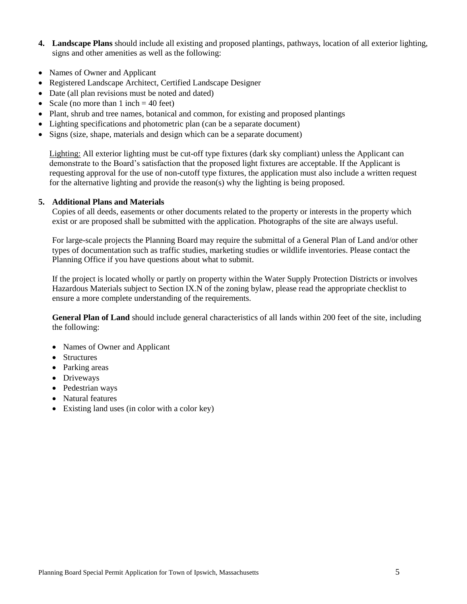- **4. Landscape Plans** should include all existing and proposed plantings, pathways, location of all exterior lighting, signs and other amenities as well as the following:
- Names of Owner and Applicant
- Registered Landscape Architect, Certified Landscape Designer
- Date (all plan revisions must be noted and dated)
- Scale (no more than  $1$  inch  $= 40$  feet)
- Plant, shrub and tree names, botanical and common, for existing and proposed plantings
- Lighting specifications and photometric plan (can be a separate document)
- Signs (size, shape, materials and design which can be a separate document)

Lighting: All exterior lighting must be cut-off type fixtures (dark sky compliant) unless the Applicant can demonstrate to the Board's satisfaction that the proposed light fixtures are acceptable. If the Applicant is requesting approval for the use of non-cutoff type fixtures, the application must also include a written request for the alternative lighting and provide the reason(s) why the lighting is being proposed.

#### **5. Additional Plans and Materials**

Copies of all deeds, easements or other documents related to the property or interests in the property which exist or are proposed shall be submitted with the application. Photographs of the site are always useful.

For large-scale projects the Planning Board may require the submittal of a General Plan of Land and/or other types of documentation such as traffic studies, marketing studies or wildlife inventories. Please contact the Planning Office if you have questions about what to submit.

If the project is located wholly or partly on property within the Water Supply Protection Districts or involves Hazardous Materials subject to Section IX.N of the zoning bylaw, please read the appropriate checklist to ensure a more complete understanding of the requirements.

**General Plan of Land** should include general characteristics of all lands within 200 feet of the site, including the following:

- Names of Owner and Applicant
- Structures
- Parking areas
- Driveways
- Pedestrian ways
- Natural features
- Existing land uses (in color with a color key)